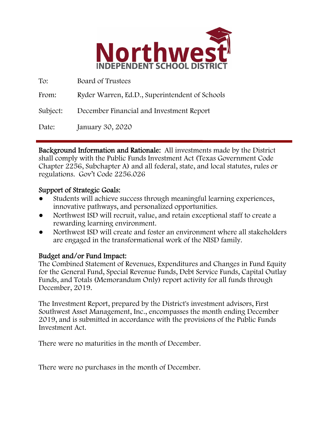

| To:      | Board of Trustees                              |
|----------|------------------------------------------------|
| From:    | Ryder Warren, Ed.D., Superintendent of Schools |
| Subject: | December Financial and Investment Report       |
| Date:    | January 30, 2020                               |

Background Information and Rationale: All investments made by the District shall comply with the Public Funds Investment Act (Texas Government Code Chapter 2256, Subchapter A) and all federal, state, and local statutes, rules or regulations. Gov't Code 2256.026

### Support of Strategic Goals:

- Students will achieve success through meaningful learning experiences, innovative pathways, and personalized opportunities.
- Northwest ISD will recruit, value, and retain exceptional staff to create a rewarding learning environment.
- Northwest ISD will create and foster an environment where all stakeholders are engaged in the transformational work of the NISD family.

### Budget and/or Fund Impact:

The Combined Statement of Revenues, Expenditures and Changes in Fund Equity for the General Fund, Special Revenue Funds, Debt Service Funds, Capital Outlay Funds, and Totals (Memorandum Only) report activity for all funds through December, 2019.

The Investment Report, prepared by the District's investment advisors, First Southwest Asset Management, Inc., encompasses the month ending December 2019, and is submitted in accordance with the provisions of the Public Funds Investment Act.

There were no maturities in the month of December.

There were no purchases in the month of December.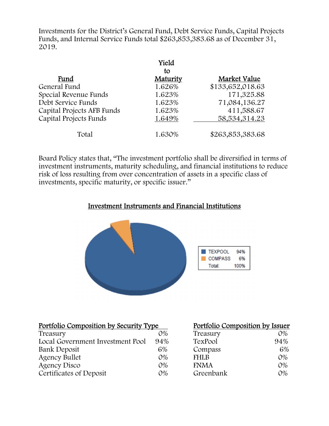Investments for the District's General Fund, Debt Service Funds, Capital Projects Funds, and Internal Service Funds total \$263,853,383.68 as of December 31, 2019.

|                            | Yield    |                  |
|----------------------------|----------|------------------|
|                            | to       |                  |
| Fund                       | Maturity | Market Value     |
| General Fund               | 1.626%   | \$133,652,018.63 |
| Special Revenue Funds      | 1.623%   | 171,325.88       |
| Debt Service Funds         | 1.623%   | 71,084,136.27    |
| Capital Projects AFB Funds | 1.623%   | 411,588.67       |
| Capital Projects Funds     | 1.649%   | 58, 534, 314. 23 |
| Total                      | 1.630%   | \$263,853,383.68 |

Board Policy states that, "The investment portfolio shall be diversified in terms of investment instruments, maturity scheduling, and financial institutions to reduce risk of loss resulting from over concentration of assets in a specific class of investments, specific maturity, or specific issuer."

## Investment Instruments and Financial Institutions



| Portfolio Composition by Security Type |       | Portfolio Composition by Issuer |       |
|----------------------------------------|-------|---------------------------------|-------|
| Treasury                               | $O\%$ | Treasury                        | $O\%$ |
| Local Government Investment Pool       | 94%   | TexPool                         | 94%   |
| Bank Deposit                           | 6%    | Compass                         | 6%    |
| <b>Agency Bullet</b>                   | $O\%$ | <b>FHLB</b>                     | $O\%$ |
| Agency Disco                           | $O\%$ | <b>FNMA</b>                     | $O\%$ |
| Certificates of Deposit                | $O\%$ | Greenbank                       | $O\%$ |

| Portfolio Composition by Issuer |            |
|---------------------------------|------------|
| Treasury                        | 0%         |
| TexPool                         | 94%        |
| Compass                         | 6%         |
| <b>FHLB</b>                     | $O\%$      |
| <b>FNMA</b>                     | $O\%$      |
| Greenbank                       | $\Omega\%$ |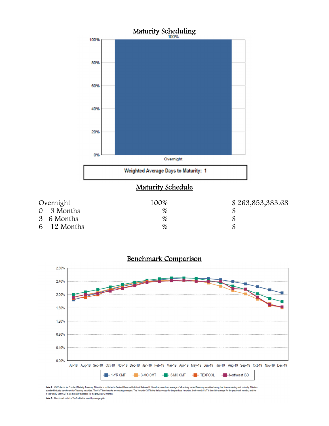



Note 1: CMT stands for Constant Maturity Treasury. This data is published in Federal Resene Statistical Release H.15 and represents an average of all actively traded Treasury securities having that time remaining until mat

Note 2: Benchmark data for TexPool is the monthly average yield.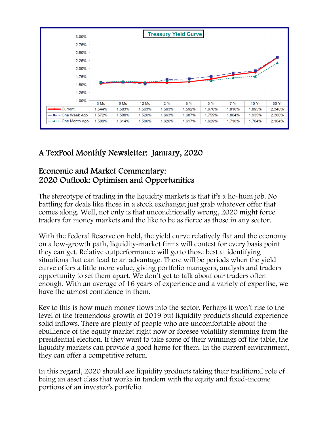

# A TexPool Monthly Newsletter: January, 2020

# Economic and Market Commentary: 2020 Outlook: Optimism and Opportunities

The stereotype of trading in the liquidity markets is that it's a ho-hum job. No battling for deals like those in a stock exchange; just grab whatever offer that comes along. Well, not only is that unconditionally wrong, 2020 might force traders for money markets and the like to be as fierce as those in any sector.

With the Federal Reserve on hold, the yield curve relatively flat and the economy on a low-growth path, liquidity-market firms will contest for every basis point they can get. Relative outperformance will go to those best at identifying situations that can lead to an advantage. There will be periods when the yield curve offers a little more value, giving portfolio managers, analysts and traders opportunity to set them apart. We don't get to talk about our traders often enough. With an average of 16 years of experience and a variety of expertise, we have the utmost confidence in them.

Key to this is how much money flows into the sector. Perhaps it won't rise to the level of the tremendous growth of 2019 but liquidity products should experience solid inflows. There are plenty of people who are uncomfortable about the ebullience of the equity market right now or foresee volatility stemming from the presidential election. If they want to take some of their winnings off the table, the liquidity markets can provide a good home for them. In the current environment, they can offer a competitive return.

In this regard, 2020 should see liquidity products taking their traditional role of being an asset class that works in tandem with the equity and fixed-income portions of an investor's portfolio.